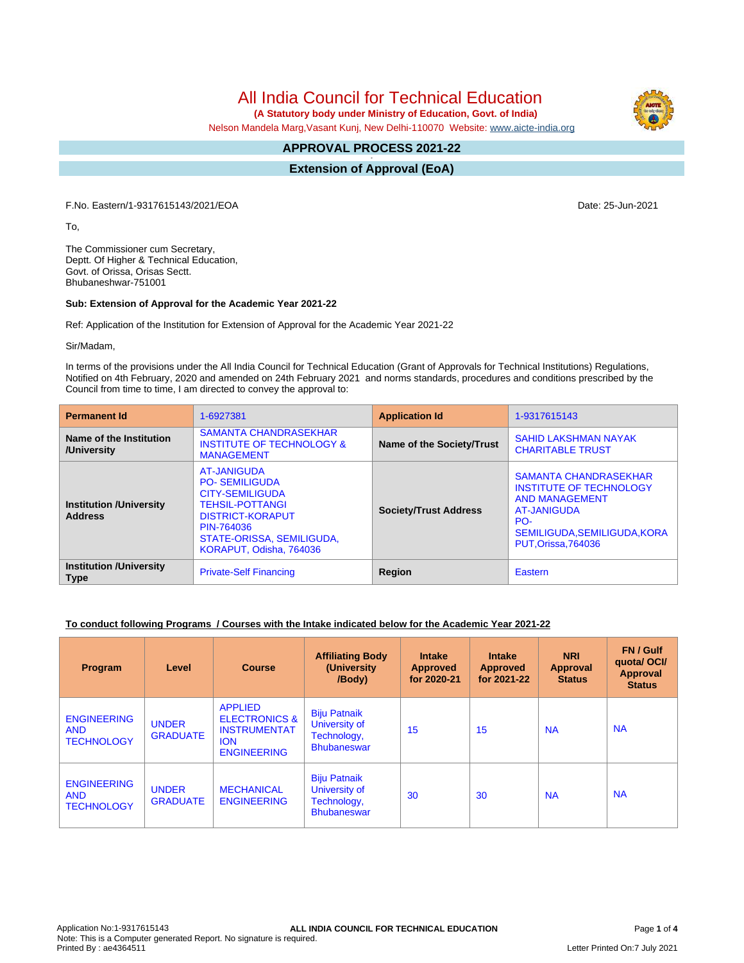All India Council for Technical Education

 **(A Statutory body under Ministry of Education, Govt. of India)**

Nelson Mandela Marg,Vasant Kunj, New Delhi-110070 Website: [www.aicte-india.org](http://www.aicte-india.org)

#### **APPROVAL PROCESS 2021-22 -**

**Extension of Approval (EoA)**

F.No. Eastern/1-9317615143/2021/EOA Date: 25-Jun-2021

To,

The Commissioner cum Secretary, Deptt. Of Higher & Technical Education, Govt. of Orissa, Orisas Sectt. Bhubaneshwar-751001

#### **Sub: Extension of Approval for the Academic Year 2021-22**

Ref: Application of the Institution for Extension of Approval for the Academic Year 2021-22

Sir/Madam,

In terms of the provisions under the All India Council for Technical Education (Grant of Approvals for Technical Institutions) Regulations, Notified on 4th February, 2020 and amended on 24th February 2021 and norms standards, procedures and conditions prescribed by the Council from time to time, I am directed to convey the approval to:

| <b>Permanent Id</b>                              | 1-6927381                                                                                                                                                                                | <b>Application Id</b>        | 1-9317615143                                                                                                                                                              |  |
|--------------------------------------------------|------------------------------------------------------------------------------------------------------------------------------------------------------------------------------------------|------------------------------|---------------------------------------------------------------------------------------------------------------------------------------------------------------------------|--|
| Name of the Institution<br>/University           | <b>SAMANTA CHANDRASEKHAR</b><br><b>INSTITUTE OF TECHNOLOGY &amp;</b><br><b>MANAGEMENT</b>                                                                                                | Name of the Society/Trust    | <b>SAHID LAKSHMAN NAYAK</b><br><b>CHARITABLE TRUST</b>                                                                                                                    |  |
| <b>Institution /University</b><br><b>Address</b> | AT-JANIGUDA<br><b>PO-SEMILIGUDA</b><br><b>CITY-SEMILIGUDA</b><br><b>TEHSIL-POTTANGI</b><br><b>DISTRICT-KORAPUT</b><br>PIN-764036<br>STATE-ORISSA, SEMILIGUDA,<br>KORAPUT, Odisha, 764036 | <b>Society/Trust Address</b> | <b>SAMANTA CHANDRASEKHAR</b><br><b>INSTITUTE OF TECHNOLOGY</b><br><b>AND MANAGEMENT</b><br>AT-JANIGUDA<br>PO-<br>SEMILIGUDA, SEMILIGUDA, KORA<br><b>PUT.Orissa.764036</b> |  |
| <b>Institution /University</b><br><b>Type</b>    | <b>Private-Self Financing</b>                                                                                                                                                            | Region                       | Eastern                                                                                                                                                                   |  |

### **To conduct following Programs / Courses with the Intake indicated below for the Academic Year 2021-22**

| Program                                               | Level                           | <b>Course</b>                                                                                         | <b>Affiliating Body</b><br>(University)<br>/Body)                         | <b>Intake</b><br><b>Approved</b><br>for 2020-21 | <b>Intake</b><br><b>Approved</b><br>for 2021-22 | <b>NRI</b><br>Approval<br><b>Status</b> | FN / Gulf<br>quotal OCI/<br><b>Approval</b><br><b>Status</b> |
|-------------------------------------------------------|---------------------------------|-------------------------------------------------------------------------------------------------------|---------------------------------------------------------------------------|-------------------------------------------------|-------------------------------------------------|-----------------------------------------|--------------------------------------------------------------|
| <b>ENGINEERING</b><br><b>AND</b><br><b>TECHNOLOGY</b> | <b>UNDER</b><br><b>GRADUATE</b> | <b>APPLIED</b><br><b>ELECTRONICS &amp;</b><br><b>INSTRUMENTAT</b><br><b>ION</b><br><b>ENGINEERING</b> | <b>Biju Patnaik</b><br>University of<br>Technology,<br><b>Bhubaneswar</b> | 15                                              | 15                                              | <b>NA</b>                               | <b>NA</b>                                                    |
| <b>ENGINEERING</b><br><b>AND</b><br><b>TECHNOLOGY</b> | <b>UNDER</b><br><b>GRADUATE</b> | <b>MECHANICAL</b><br><b>ENGINEERING</b>                                                               | <b>Biju Patnaik</b><br>University of<br>Technology,<br><b>Bhubaneswar</b> | 30                                              | 30                                              | <b>NA</b>                               | <b>NA</b>                                                    |

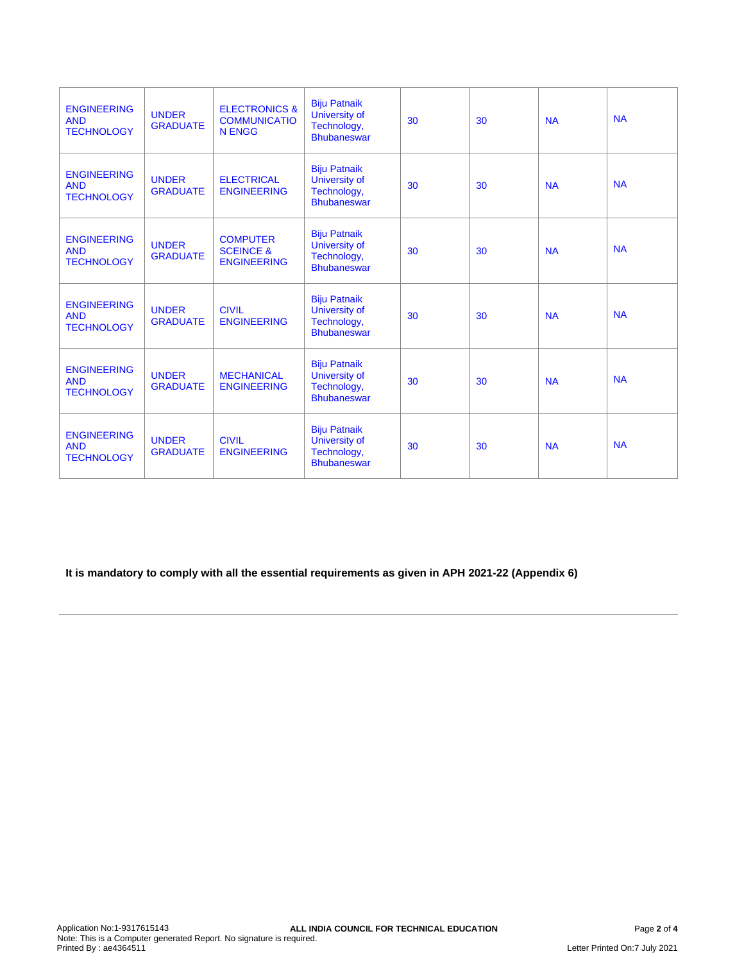| <b>ENGINEERING</b><br><b>AND</b><br><b>TECHNOLOGY</b> | <b>UNDER</b><br><b>GRADUATE</b> | <b>ELECTRONICS &amp;</b><br><b>COMMUNICATIO</b><br><b>N ENGG</b> | <b>Biju Patnaik</b><br>University of<br>Technology,<br><b>Bhubaneswar</b>        | 30 | 30 | <b>NA</b> | <b>NA</b> |
|-------------------------------------------------------|---------------------------------|------------------------------------------------------------------|----------------------------------------------------------------------------------|----|----|-----------|-----------|
| <b>ENGINEERING</b><br><b>AND</b><br><b>TECHNOLOGY</b> | <b>UNDER</b><br><b>GRADUATE</b> | <b>ELECTRICAL</b><br><b>ENGINEERING</b>                          | <b>Biju Patnaik</b><br>University of<br>Technology,<br><b>Bhubaneswar</b>        | 30 | 30 | <b>NA</b> | <b>NA</b> |
| <b>ENGINEERING</b><br><b>AND</b><br><b>TECHNOLOGY</b> | <b>UNDER</b><br><b>GRADUATE</b> | <b>COMPUTER</b><br><b>SCEINCE &amp;</b><br><b>ENGINEERING</b>    | <b>Biju Patnaik</b><br>University of<br>Technology,<br><b>Bhubaneswar</b>        | 30 | 30 | <b>NA</b> | <b>NA</b> |
| <b>ENGINEERING</b><br><b>AND</b><br><b>TECHNOLOGY</b> | <b>UNDER</b><br><b>GRADUATE</b> | <b>CIVIL</b><br><b>ENGINEERING</b>                               | <b>Biju Patnaik</b><br><b>University of</b><br>Technology,<br><b>Bhubaneswar</b> | 30 | 30 | <b>NA</b> | <b>NA</b> |
| <b>ENGINEERING</b><br><b>AND</b><br><b>TECHNOLOGY</b> | <b>UNDER</b><br><b>GRADUATE</b> | <b>MECHANICAL</b><br><b>ENGINEERING</b>                          | <b>Biju Patnaik</b><br>University of<br>Technology,<br><b>Bhubaneswar</b>        | 30 | 30 | <b>NA</b> | <b>NA</b> |
| <b>ENGINEERING</b><br><b>AND</b><br><b>TECHNOLOGY</b> | <b>UNDER</b><br><b>GRADUATE</b> | <b>CIVIL</b><br><b>ENGINEERING</b>                               | <b>Biju Patnaik</b><br>University of<br>Technology,<br><b>Bhubaneswar</b>        | 30 | 30 | <b>NA</b> | <b>NA</b> |

**It is mandatory to comply with all the essential requirements as given in APH 2021-22 (Appendix 6)**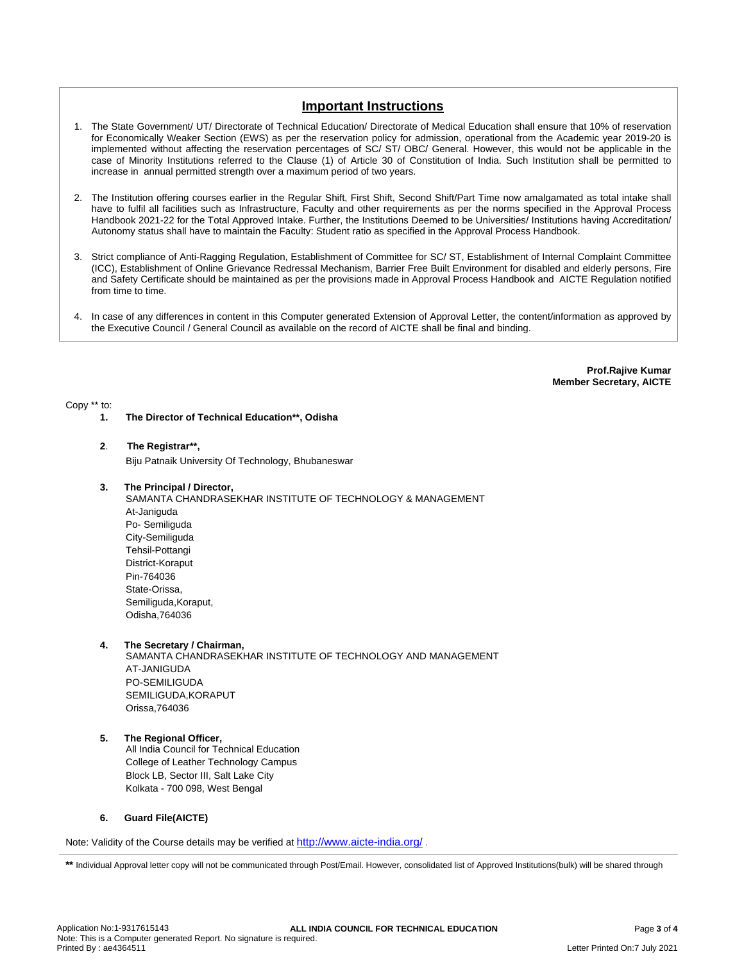# **Important Instructions**

- 1. The State Government/ UT/ Directorate of Technical Education/ Directorate of Medical Education shall ensure that 10% of reservation for Economically Weaker Section (EWS) as per the reservation policy for admission, operational from the Academic year 2019-20 is implemented without affecting the reservation percentages of SC/ ST/ OBC/ General. However, this would not be applicable in the case of Minority Institutions referred to the Clause (1) of Article 30 of Constitution of India. Such Institution shall be permitted to increase in annual permitted strength over a maximum period of two years.
- 2. The Institution offering courses earlier in the Regular Shift, First Shift, Second Shift/Part Time now amalgamated as total intake shall have to fulfil all facilities such as Infrastructure, Faculty and other requirements as per the norms specified in the Approval Process Handbook 2021-22 for the Total Approved Intake. Further, the Institutions Deemed to be Universities/ Institutions having Accreditation/ Autonomy status shall have to maintain the Faculty: Student ratio as specified in the Approval Process Handbook.
- 3. Strict compliance of Anti-Ragging Regulation, Establishment of Committee for SC/ ST, Establishment of Internal Complaint Committee (ICC), Establishment of Online Grievance Redressal Mechanism, Barrier Free Built Environment for disabled and elderly persons, Fire and Safety Certificate should be maintained as per the provisions made in Approval Process Handbook and AICTE Regulation notified from time to time.
- 4. In case of any differences in content in this Computer generated Extension of Approval Letter, the content/information as approved by the Executive Council / General Council as available on the record of AICTE shall be final and binding.

**Prof.Rajive Kumar Member Secretary, AICTE**

#### Copy \*\* to:

**1. The Director of Technical Education\*\*, Odisha**

#### **2**. **The Registrar\*\*,**

Biju Patnaik University Of Technology, Bhubaneswar

- **3. The Principal / Director,**
	- SAMANTA CHANDRASEKHAR INSTITUTE OF TECHNOLOGY & MANAGEMENT At-Janiguda Po- Semiliguda City-Semiliguda Tehsil-Pottangi District-Koraput Pin-764036 State-Orissa, Semiliguda,Koraput, Odisha,764036

#### **4. The Secretary / Chairman,**

SAMANTA CHANDRASEKHAR INSTITUTE OF TECHNOLOGY AND MANAGEMENT AT-JANIGUDA PO-SEMILIGUDA SEMILIGUDA,KORAPUT Orissa,764036

## **5. The Regional Officer,**

All India Council for Technical Education College of Leather Technology Campus Block LB, Sector III, Salt Lake City Kolkata - 700 098, West Bengal

#### **6. Guard File(AICTE)**

Note: Validity of the Course details may be verified at <http://www.aicte-india.org/> **.**

\*\* Individual Approval letter copy will not be communicated through Post/Email. However, consolidated list of Approved Institutions(bulk) will be shared through